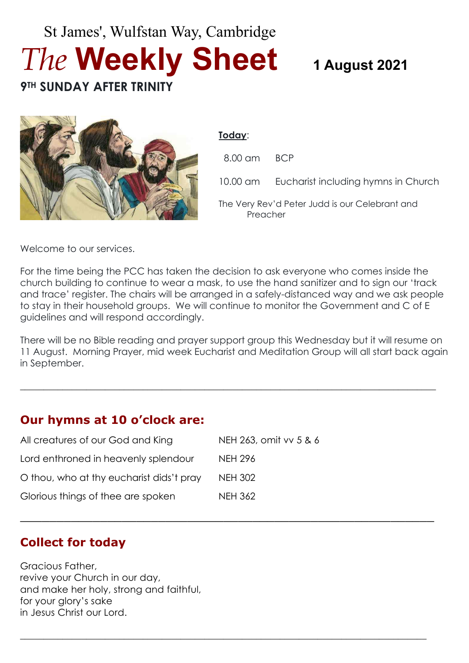# St James', Wulfstan Way, Cambridge *The* **Weekly Sheet 1 August <sup>2021</sup> 9TH SUNDAY AFTER TRINITY**



#### **Today**:

| 8.00 am BCP                                                |                                              |
|------------------------------------------------------------|----------------------------------------------|
|                                                            | 10.00 am Eucharist including hymns in Church |
| The Very Rev'd Peter Judd is our Celebrant and<br>Preacher |                                              |

Welcome to our services.

For the time being the PCC has taken the decision to ask everyone who comes inside the church building to continue to wear a mask, to use the hand sanitizer and to sign our 'track and trace' register. The chairs will be arranged in a safely-distanced way and we ask people to stay in their household groups. We will continue to monitor the Government and C of E guidelines and will respond accordingly.

There will be no Bible reading and prayer support group this Wednesday but it will resume on 11 August. Morning Prayer, mid week Eucharist and Meditation Group will all start back again in September.

 $\_$  , and the set of the set of the set of the set of the set of the set of the set of the set of the set of the set of the set of the set of the set of the set of the set of the set of the set of the set of the set of th

\_\_\_\_\_\_\_\_\_\_\_\_\_\_\_\_\_\_\_\_\_\_\_\_\_\_\_\_\_\_\_\_\_\_\_\_\_\_\_\_\_\_\_\_\_\_\_\_\_\_\_\_\_\_\_\_\_

**\_\_\_\_\_\_\_\_\_\_\_\_\_\_\_\_\_\_\_\_\_\_\_\_\_\_\_\_\_\_\_\_\_\_\_\_\_\_\_\_\_\_\_\_\_\_\_\_\_\_\_\_\_\_\_\_\_\_\_\_\_\_\_\_\_\_\_\_\_\_\_\_\_\_\_\_\_\_\_\_\_\_\_\_\_\_**

# **Our hymns at 10 o'clock are:**

| All creatures of our God and King        | NEH 263, omit vv 5 & 6 |
|------------------------------------------|------------------------|
| Lord enthroned in heavenly splendour     | <b>NEH 296</b>         |
| O thou, who at thy eucharist dids't pray | <b>NEH 302</b>         |
| Glorious things of thee are spoken       | <b>NEH 362</b>         |

# **Collect for today**

Gracious Father, revive your Church in our day, and make her holy, strong and faithful, for your glory's sake in Jesus Christ our Lord.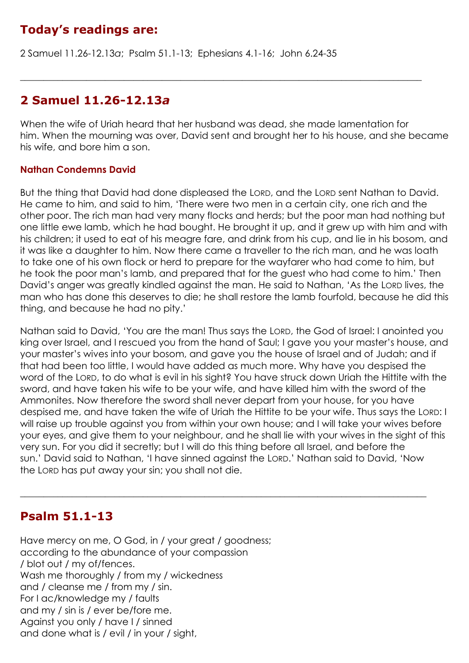# **Today's readings are:**

2 Samuel 11.26-12.13*a*; Psalm 51.1-13; Ephesians 4.1-16; John 6.24-35

# **2 Samuel 11.26-12.13***a*

When the wife of Uriah heard that her husband was dead, she made lamentation for him. When the mourning was over, David sent and brought her to his house, and she became his wife, and bore him a son.

 $\_$  , and the set of the set of the set of the set of the set of the set of the set of the set of the set of the set of the set of the set of the set of the set of the set of the set of the set of the set of the set of th

### **Nathan Condemns David**

But the thing that David had done displeased the LORD, and the LORD sent Nathan to David. He came to him, and said to him, 'There were two men in a certain city, one rich and the other poor. The rich man had very many flocks and herds; but the poor man had nothing but one little ewe lamb, which he had bought. He brought it up, and it grew up with him and with his children; it used to eat of his meagre fare, and drink from his cup, and lie in his bosom, and it was like a daughter to him. Now there came a traveller to the rich man, and he was loath to take one of his own flock or herd to prepare for the wayfarer who had come to him, but he took the poor man's lamb, and prepared that for the guest who had come to him.' Then David's anger was greatly kindled against the man. He said to Nathan, 'As the LORD lives, the man who has done this deserves to die; he shall restore the lamb fourfold, because he did this thing, and because he had no pity.'

Nathan said to David, 'You are the man! Thus says the LORD, the God of Israel: I anointed you king over Israel, and I rescued you from the hand of Saul; I gave you your master's house, and your master's wives into your bosom, and gave you the house of Israel and of Judah; and if that had been too little, I would have added as much more. Why have you despised the word of the LORD, to do what is evil in his sight? You have struck down Uriah the Hittite with the sword, and have taken his wife to be your wife, and have killed him with the sword of the Ammonites. Now therefore the sword shall never depart from your house, for you have despised me, and have taken the wife of Uriah the Hittite to be your wife. Thus says the LORD: I will raise up trouble against you from within your own house; and I will take your wives before your eyes, and give them to your neighbour, and he shall lie with your wives in the sight of this very sun. For you did it secretly; but I will do this thing before all Israel, and before the sun.' David said to Nathan, 'I have sinned against the LORD.' Nathan said to David, 'Now the LORD has put away your sin; you shall not die.

 $\_$  , and the set of the set of the set of the set of the set of the set of the set of the set of the set of the set of the set of the set of the set of the set of the set of the set of the set of the set of the set of th

# **Psalm 51.1-13**

Have mercy on me, O God, in / your great / goodness; according to the abundance of your compassion / blot out / my of/fences. Wash me thoroughly / from my / wickedness and / cleanse me / from my / sin. For I ac/knowledge my / faults and my / sin is / ever be/fore me. Against you only / have I / sinned and done what is / evil / in your / sight,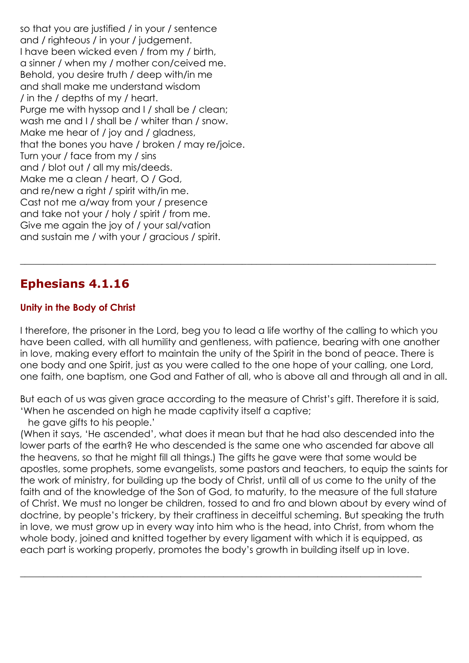so that you are justified / in your / sentence and / righteous / in your / judgement. I have been wicked even / from my / birth, a sinner / when my / mother con/ceived me. Behold, you desire truth / deep with/in me and shall make me understand wisdom / in the / depths of my / heart. Purge me with hyssop and I / shall be / clean; wash me and I / shall be / whiter than / snow. Make me hear of / joy and / gladness, that the bones you have / broken / may re/joice. Turn your / face from my / sins and / blot out / all my mis/deeds. Make me a clean / heart, O / God, and re/new a right / spirit with/in me. Cast not me a/way from your / presence and take not your / holy / spirit / from me. Give me again the joy of / your sal/vation and sustain me / with your / gracious / spirit.

# **Ephesians 4.1.16**

### **Unity in the Body of Christ**

I therefore, the prisoner in the Lord, beg you to lead a life worthy of the calling to which you have been called, with all humility and gentleness, with patience, bearing with one another in love, making every effort to maintain the unity of the Spirit in the bond of peace. There is one body and one Spirit, just as you were called to the one hope of your calling, one Lord, one faith, one baptism, one God and Father of all, who is above all and through all and in all.

 $\_$  , and the set of the set of the set of the set of the set of the set of the set of the set of the set of the set of the set of the set of the set of the set of the set of the set of the set of the set of the set of th

But each of us was given grace according to the measure of Christ's gift. Therefore it is said, 'When he ascended on high he made captivity itself a captive;

he gave gifts to his people.'

(When it says, 'He ascended', what does it mean but that he had also descended into the lower parts of the earth? He who descended is the same one who ascended far above all the heavens, so that he might fill all things.) The gifts he gave were that some would be apostles, some prophets, some evangelists, some pastors and teachers, to equip the saints for the work of ministry, for building up the body of Christ, until all of us come to the unity of the faith and of the knowledge of the Son of God, to maturity, to the measure of the full stature of Christ. We must no longer be children, tossed to and fro and blown about by every wind of doctrine, by people's trickery, by their craftiness in deceitful scheming. But speaking the truth in love, we must grow up in every way into him who is the head, into Christ, from whom the whole body, joined and knitted together by every ligament with which it is equipped, as each part is working properly, promotes the body's growth in building itself up in love.

 $\_$  , and the set of the set of the set of the set of the set of the set of the set of the set of the set of the set of the set of the set of the set of the set of the set of the set of the set of the set of the set of th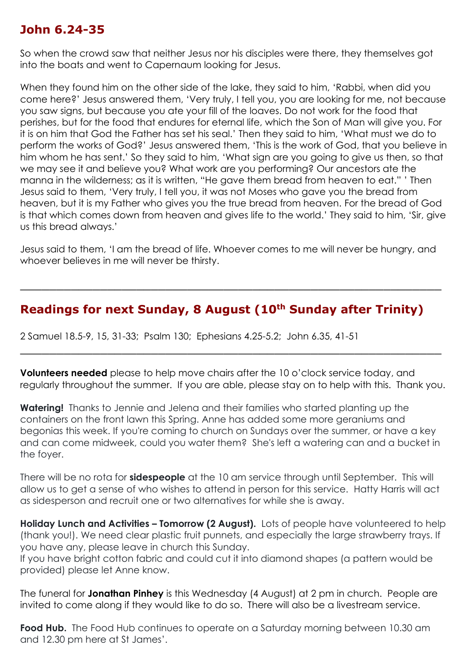# **John 6.24-35**

So when the crowd saw that neither Jesus nor his disciples were there, they themselves got into the boats and went to Capernaum looking for Jesus.

When they found him on the other side of the lake, they said to him, 'Rabbi, when did you come here?' Jesus answered them, 'Very truly, I tell you, you are looking for me, not because you saw signs, but because you ate your fill of the loaves. Do not work for the food that perishes, but for the food that endures for eternal life, which the Son of Man will give you. For it is on him that God the Father has set his seal.' Then they said to him, 'What must we do to perform the works of God?' Jesus answered them, 'This is the work of God, that you believe in him whom he has sent.' So they said to him, 'What sign are you going to give us then, so that we may see it and believe you? What work are you performing? Our ancestors ate the manna in the wilderness; as it is written, "He gave them bread from heaven to eat." ' Then Jesus said to them, 'Very truly, I tell you, it was not Moses who gave you the bread from heaven, but it is my Father who gives you the true bread from heaven. For the bread of God is that which comes down from heaven and gives life to the world.' They said to him, 'Sir, give us this bread always.'

Jesus said to them, 'I am the bread of life. Whoever comes to me will never be hungry, and whoever believes in me will never be thirsty.

\_\_\_\_\_\_\_\_\_\_\_\_\_\_\_\_\_\_\_\_\_\_\_\_\_\_\_\_\_\_\_\_\_\_\_\_\_\_\_\_\_\_\_\_\_\_\_\_\_\_\_\_\_\_\_\_\_\_

# **Readings for next Sunday, 8 August (10th Sunday after Trinity)**

2 Samuel 18.5-9, 15, 31-33; Psalm 130; Ephesians 4.25-5.2; John 6.35, 41-51

**Volunteers needed** please to help move chairs after the 10 o'clock service today, and regularly throughout the summer. If you are able, please stay on to help with this. Thank you.

\_\_\_\_\_\_\_\_\_\_\_\_\_\_\_\_\_\_\_\_\_\_\_\_\_\_\_\_\_\_\_\_\_\_\_\_\_\_\_\_\_\_\_\_\_\_\_\_\_\_\_\_\_\_\_\_\_\_

**Watering!** Thanks to Jennie and Jelena and their families who started planting up the containers on the front lawn this Spring. Anne has added some more geraniums and begonias this week. If you're coming to church on Sundays over the summer, or have a key and can come midweek, could you water them? She's left a watering can and a bucket in the foyer.

There will be no rota for **sidespeople** at the 10 am service through until September. This will allow us to get a sense of who wishes to attend in person for this service. Hatty Harris will act as sidesperson and recruit one or two alternatives for while she is away.

**Holiday Lunch and Activities – Tomorrow (2 August).** Lots of people have volunteered to help (thank you!). We need clear plastic fruit punnets, and especially the large strawberry trays. If you have any, please leave in church this Sunday.

If you have bright cotton fabric and could cut it into diamond shapes (a pattern would be provided) please let Anne know.

The funeral for **Jonathan Pinhey** is this Wednesday (4 August) at 2 pm in church. People are invited to come along if they would like to do so. There will also be a livestream service.

**Food Hub.** The Food Hub continues to operate on a Saturday morning between 10.30 am and 12.30 pm here at St James'.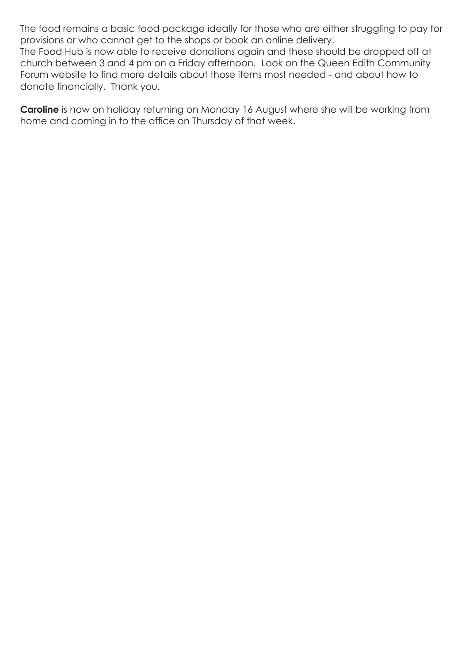The food remains a basic food package ideally for those who are either struggling to pay for provisions or who cannot get to the shops or book an online delivery.

The Food Hub is now able to receive donations again and these should be dropped off at church between 3 and 4 pm on a Friday afternoon. Look on the Queen Edith Community Forum website to find more details about those items most needed - and about how to donate financially. Thank you.

**Caroline** is now on holiday returning on Monday 16 August where she will be working from home and coming in to the office on Thursday of that week.